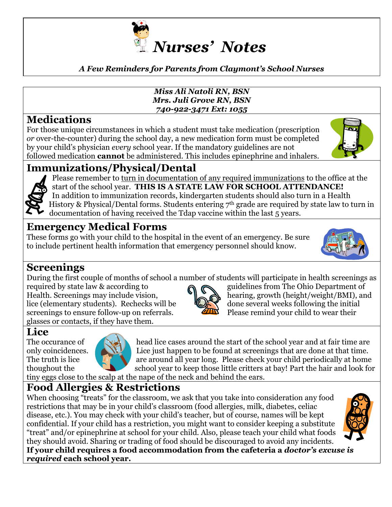

#### *A Few Reminders for Parents from Claymont's School Nurses*

#### *Miss Ali Natoli RN, BSN Mrs. Juli Grove RN, BSN 740-922-3471 Ext: 1055*

### **Medications**

For those unique circumstances in which a student must take medication (prescription *or* over-the-counter) during the school day, a new medication form must be completed by your child's physician *every* school year. If the mandatory guidelines are not followed medication **cannot** be administered. This includes epinephrine and inhalers.



### **Immunizations/Physical/Dental**



Please remember to turn in documentation of any required immunizations to the office at the start of the school year. **THIS IS A STATE LAW FOR SCHOOL ATTENDANCE!** In addition to immunization records, kindergarten students should also turn in a Health History & Physical/Dental forms. Students entering 7<sup>th</sup> grade are required by state law to turn in documentation of having received the Tdap vaccine within the last 5 years.

### **Emergency Medical Forms**

These forms go with your child to the hospital in the event of an emergency. Be sure to include pertinent health information that emergency personnel should know.



### **Screenings**

During the first couple of months of school a number of students will participate in health screenings as

required by state law & according to guidelines from The Ohio Department of Health. Screenings may include vision,  $\|\cdot\|$  hearing, growth (height/weight/BMI), and lice (elementary students). Rechecks will be  $\bigotimes$  done several weeks following the initial screenings to ensure follow-up on referrals. Please remind your child to wear their glasses or contacts, if they have them.

## **Lice**



The occurance of  $\Box$  head lice cases around the start of the school year and at fair time are only coincidences.<br>The truth is lice  $\mathbb{R}^N$  Lice just happen to be found at screenings that are done at that time. are around all year long. Please check your child periodically at home thoughout the school year to keep those little critters at bay! Part the hair and look for

tiny eggs close to the scalp at the nape of the neck and behind the ears.

### **Food Allergies & Restrictions**

When choosing "treats" for the classroom, we ask that you take into consideration any food restrictions that may be in your child's classroom (food allergies, milk, diabetes, celiac disease, etc.). You may check with your child's teacher, but of course, names will be kept confidential. If your child has a restriction, you might want to consider keeping a substitute "treat" and/or epinephrine at school for your child. Also, please teach your child what foods they should avoid. Sharing or trading of food should be discouraged to avoid any incidents. **If your child requires a food accommodation from the cafeteria a** *doctor's excuse is required* **each school year.**